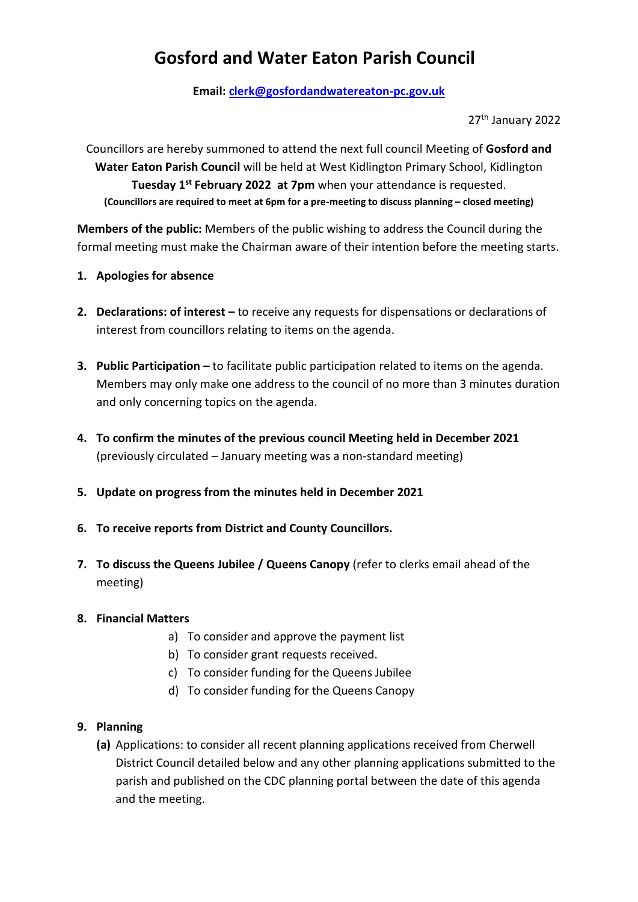# **Gosford and Water Eaton Parish Council**

**Email: [clerk@gosfordandwatereaton-pc.gov.uk](mailto:clerk@gosfordandwatereaton-pc.gov.uk)**

27th January 2022

Councillors are hereby summoned to attend the next full council Meeting of **Gosford and Water Eaton Parish Council** will be held at West Kidlington Primary School, Kidlington **Tuesday 1st February 2022 at 7pm** when your attendance is requested. **(Councillors are required to meet at 6pm for a pre-meeting to discuss planning – closed meeting)**

**Members of the public:** Members of the public wishing to address the Council during the formal meeting must make the Chairman aware of their intention before the meeting starts.

- **1. Apologies for absence**
- **2. Declarations: of interest –** to receive any requests for dispensations or declarations of interest from councillors relating to items on the agenda.
- **3. Public Participation –** to facilitate public participation related to items on the agenda. Members may only make one address to the council of no more than 3 minutes duration and only concerning topics on the agenda.
- **4. To confirm the minutes of the previous council Meeting held in December 2021** (previously circulated – January meeting was a non-standard meeting)
- **5. Update on progress from the minutes held in December 2021**
- **6. To receive reports from District and County Councillors.**
- **7. To discuss the Queens Jubilee / Queens Canopy** (refer to clerks email ahead of the meeting)

#### **8. Financial Matters**

- a) To consider and approve the payment list
- b) To consider grant requests received.
- c) To consider funding for the Queens Jubilee
- d) To consider funding for the Queens Canopy

#### **9. Planning**

**(a)** Applications: to consider all recent planning applications received from Cherwell District Council detailed below and any other planning applications submitted to the parish and published on the CDC planning portal between the date of this agenda and the meeting.